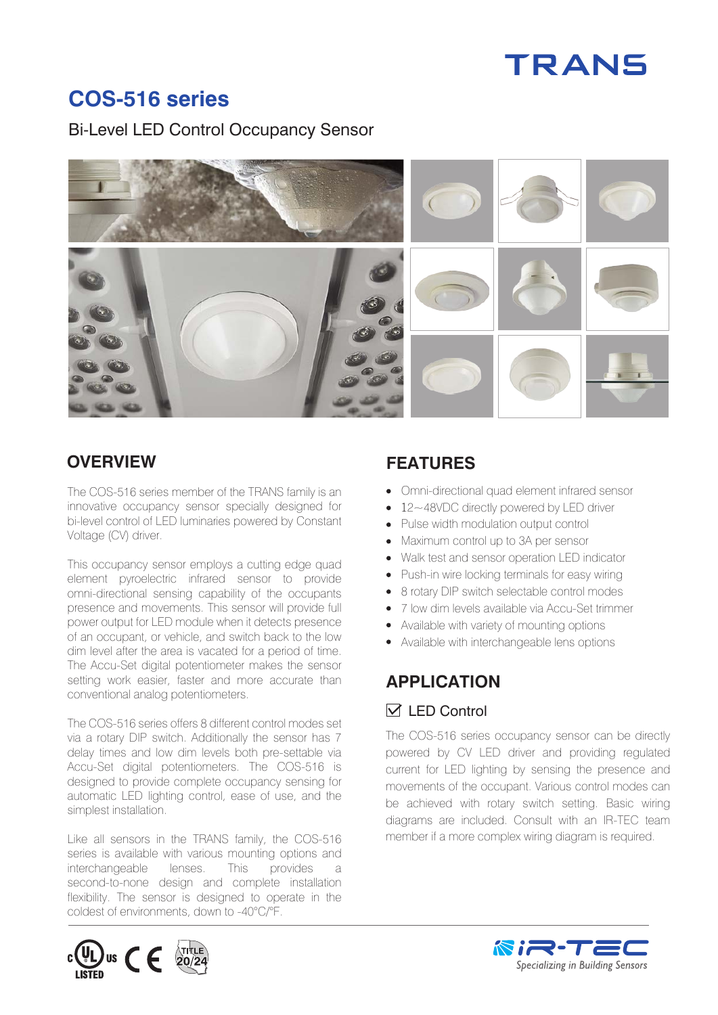# TRANS

# **COS-516 series**

Bi-Level LED Control Occupancy Sensor



### **OVERVIEW FEATURES**

The COS-516 series member of the TRANS family is an innovative occupancy sensor specially designed for bi-level control of LED luminaries powered by Constant Voltage (CV) driver.

This occupancy sensor employs a cutting edge quad element pyroelectric infrared sensor to provide omni-directional sensing capability of the occupants presence and movements. This sensor will provide full power output for LED module when it detects presence of an occupant, or vehicle, and switch back to the low dim level after the area is vacated for a period of time. The Accu-Set digital potentiometer makes the sensor setting work easier, faster and more accurate than conventional analog potentiometers.

The COS-516 series offers 8 different control modes set via a rotary DIP switch. Additionally the sensor has 7 delay times and low dim levels both pre-settable via Accu-Set digital potentiometers. The COS-516 is designed to provide complete occupancy sensing for automatic LED lighting control, ease of use, and the simplest installation.

Like all sensors in the TRANS family, the COS-516 series is available with various mounting options and interchangeable lenses. This provides a second-to-none design and complete installation flexibility. The sensor is designed to operate in the coldest of environments, down to -40°C/°F.

- Omni-directional quad element infrared sensor
- 12~48VDC directly powered by LED driver
- Pulse width modulation output control
- Maximum control up to 3A per sensor
- Walk test and sensor operation LED indicator
- Push-in wire locking terminals for easy wiring
- 8 rotary DIP switch selectable control modes
- 7 low dim levels available via Accu-Set trimmer
- Available with variety of mounting options
- Available with interchangeable lens options

# **APPLICATION**   $\sqrt{}$  I FD Control

The COS-516 series occupancy sensor can be directly powered by CV LED driver and providing regulated current for LED lighting by sensing the presence and movements of the occupant. Various control modes can be achieved with rotary switch setting. Basic wiring diagrams are included. Consult with an IR-TEC team member if a more complex wiring diagram is required.